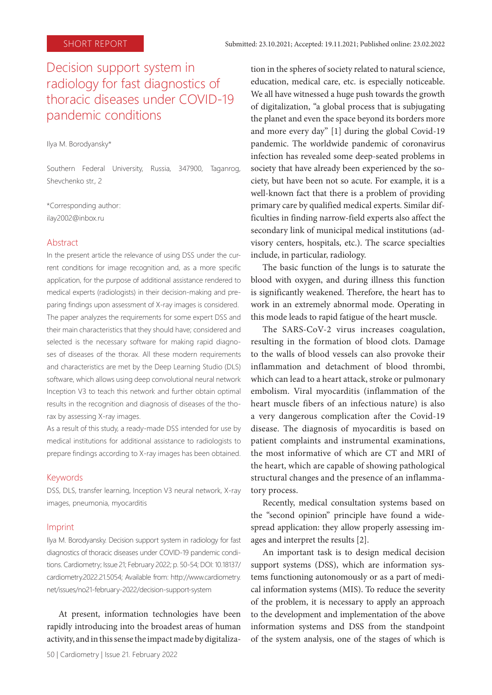# Decision support system in radiology for fast diagnostics of thoracic diseases under COVID-19 pandemic conditions

Ilya M. Borodyansky\*

Southern Federal University, Russia, 347900, Taganrog, Shevchenko str., 2

\*Corresponding author: ilay2002@inbox.ru

#### Abstract

In the present article the relevance of using DSS under the current conditions for image recognition and, as a more specific application, for the purpose of additional assistance rendered to medical experts (radiologists) in their decision-making and preparing findings upon assessment of X-ray images is considered. The paper analyzes the requirements for some expert DSS and their main characteristics that they should have; considered and selected is the necessary software for making rapid diagnoses of diseases of the thorax. All these modern requirements and characteristics are met by the Deep Learning Studio (DLS) software, which allows using deep convolutional neural network Inception V3 to teach this network and further obtain optimal results in the recognition and diagnosis of diseases of the thorax by assessing X-ray images.

As a result of this study, a ready-made DSS intended for use by medical institutions for additional assistance to radiologists to prepare findings according to X-ray images has been obtained.

#### Keywords

DSS, DLS, transfer learning, Inception V3 neural network, X-ray images, pneumonia, myocarditis

#### Imprint

Ilya M. Borodyansky. Decision support system in radiology for fast diagnostics of thoracic diseases under COVID-19 pandemic conditions. Cardiometry; Issue 21; February 2022; p. 50-54; DOI: 10.18137/ cardiometry.2022.21.5054; Available from: http://www.cardiometry. net/issues/no21-february-2022/decision-support-system

At present, information technologies have been rapidly introducing into the broadest areas of human activity, and in this sense the impact made by digitalization in the spheres of society related to natural science, education, medical care, etc. is especially noticeable. We all have witnessed a huge push towards the growth of digitalization, "a global process that is subjugating the planet and even the space beyond its borders more and more every day" [1] during the global Covid-19 pandemic. The worldwide pandemic of coronavirus infection has revealed some deep-seated problems in society that have already been experienced by the society, but have been not so acute. For example, it is a well-known fact that there is a problem of providing primary care by qualified medical experts. Similar difficulties in finding narrow-field experts also affect the secondary link of municipal medical institutions (advisory centers, hospitals, etc.). The scarce specialties include, in particular, radiology.

The basic function of the lungs is to saturate the blood with oxygen, and during illness this function is significantly weakened. Therefore, the heart has to work in an extremely abnormal mode. Operating in this mode leads to rapid fatigue of the heart muscle.

The SARS-CoV-2 virus increases coagulation, resulting in the formation of blood clots. Damage to the walls of blood vessels can also provoke their inflammation and detachment of blood thrombi, which can lead to a heart attack, stroke or pulmonary embolism. Viral myocarditis (inflammation of the heart muscle fibers of an infectious nature) is also a very dangerous complication after the Covid-19 disease. The diagnosis of myocarditis is based on patient complaints and instrumental examinations, the most informative of which are CT and MRI of the heart, which are capable of showing pathological structural changes and the presence of an inflammatory process.

Recently, medical consultation systems based on the "second opinion" principle have found a widespread application: they allow properly assessing images and interpret the results [2].

An important task is to design medical decision support systems (DSS), which are information systems functioning autonomously or as a part of medical information systems (MIS). To reduce the severity of the problem, it is necessary to apply an approach to the development and implementation of the above information systems and DSS from the standpoint of the system analysis, one of the stages of which is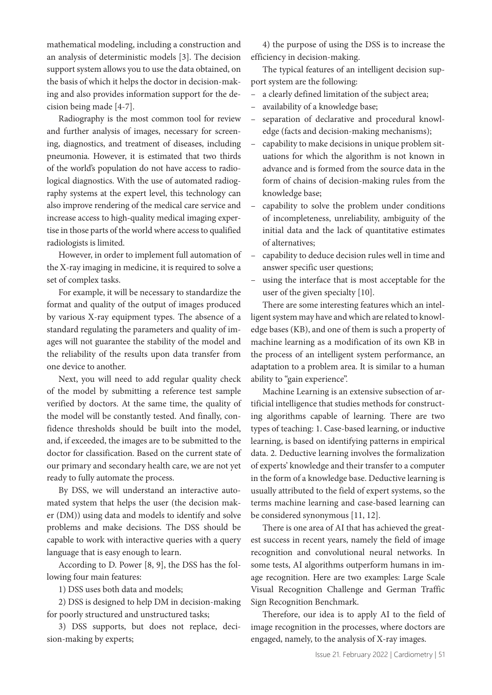mathematical modeling, including a construction and an analysis of deterministic models [3]. The decision support system allows you to use the data obtained, on the basis of which it helps the doctor in decision-making and also provides information support for the decision being made [4-7].

Radiography is the most common tool for review and further analysis of images, necessary for screening, diagnostics, and treatment of diseases, including pneumonia. However, it is estimated that two thirds of the world's population do not have access to radiological diagnostics. With the use of automated radiography systems at the expert level, this technology can also improve rendering of the medical care service and increase access to high-quality medical imaging expertise in those parts of the world where access to qualified radiologists is limited.

However, in order to implement full automation of the X-ray imaging in medicine, it is required to solve a set of complex tasks.

For example, it will be necessary to standardize the format and quality of the output of images produced by various X-ray equipment types. The absence of a standard regulating the parameters and quality of images will not guarantee the stability of the model and the reliability of the results upon data transfer from one device to another.

Next, you will need to add regular quality check of the model by submitting a reference test sample verified by doctors. At the same time, the quality of the model will be constantly tested. And finally, confidence thresholds should be built into the model, and, if exceeded, the images are to be submitted to the doctor for classification. Based on the current state of our primary and secondary health care, we are not yet ready to fully automate the process.

By DSS, we will understand an interactive automated system that helps the user (the decision maker (DM)) using data and models to identify and solve problems and make decisions. The DSS should be capable to work with interactive queries with a query language that is easy enough to learn.

According to D. Power [8, 9], the DSS has the following four main features:

1) DSS uses both data and models;

2) DSS is designed to help DM in decision-making for poorly structured and unstructured tasks;

3) DSS supports, but does not replace, decision-making by experts;

4) the purpose of using the DSS is to increase the efficiency in decision-making.

The typical features of an intelligent decision support system are the following:

- a clearly defined limitation of the subject area;
- availability of a knowledge base;
- separation of declarative and procedural knowledge (facts and decision-making mechanisms);
- capability to make decisions in unique problem situations for which the algorithm is not known in advance and is formed from the source data in the form of chains of decision-making rules from the knowledge base;
- capability to solve the problem under conditions of incompleteness, unreliability, ambiguity of the initial data and the lack of quantitative estimates of alternatives;
- capability to deduce decision rules well in time and answer specific user questions;
- using the interface that is most acceptable for the user of the given specialty [10].

There are some interesting features which an intelligent system may have and which are related to knowledge bases (KB), and one of them is such a property of machine learning as a modification of its own KB in the process of an intelligent system performance, an adaptation to a problem area. It is similar to a human ability to "gain experience".

Machine Learning is an extensive subsection of artificial intelligence that studies methods for constructing algorithms capable of learning. There are two types of teaching: 1. Case-based learning, or inductive learning, is based on identifying patterns in empirical data. 2. Deductive learning involves the formalization of experts' knowledge and their transfer to a computer in the form of a knowledge base. Deductive learning is usually attributed to the field of expert systems, so the terms machine learning and case-based learning can be considered synonymous [11, 12].

There is one area of AI that has achieved the greatest success in recent years, namely the field of image recognition and convolutional neural networks. In some tests, AI algorithms outperform humans in image recognition. Here are two examples: Large Scale Visual Recognition Challenge and German Traffic Sign Recognition Benchmark.

Therefore, our idea is to apply AI to the field of image recognition in the processes, where doctors are engaged, namely, to the analysis of X-ray images.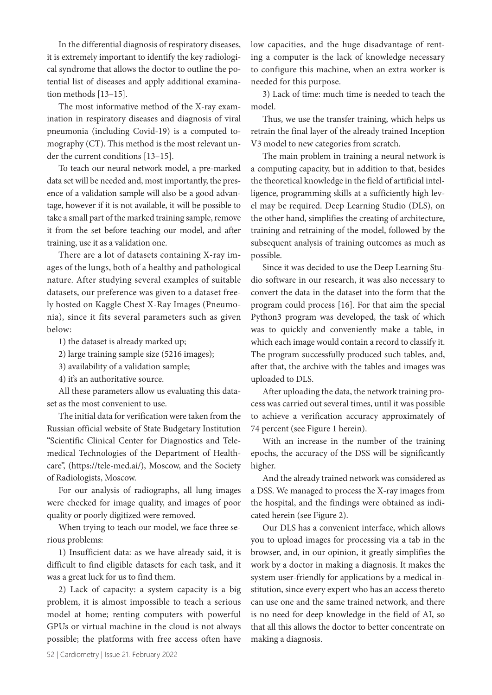In the differential diagnosis of respiratory diseases, it is extremely important to identify the key radiological syndrome that allows the doctor to outline the potential list of diseases and apply additional examination methods [13–15].

The most informative method of the X-ray examination in respiratory diseases and diagnosis of viral pneumonia (including Covid-19) is a computed tomography (CT). This method is the most relevant under the current conditions [13–15].

To teach our neural network model, a pre-marked data set will be needed and, most importantly, the presence of a validation sample will also be a good advantage, however if it is not available, it will be possible to take a small part of the marked training sample, remove it from the set before teaching our model, and after training, use it as a validation one.

There are a lot of datasets containing X-ray images of the lungs, both of a healthy and pathological nature. After studying several examples of suitable datasets, our preference was given to a dataset freely hosted on Kaggle Chest X-Ray Images (Pneumonia), since it fits several parameters such as given below:

1) the dataset is already marked up;

2) large training sample size (5216 images);

3) availability of a validation sample;

4) it's an authoritative source.

All these parameters allow us evaluating this dataset as the most convenient to use.

The initial data for verification were taken from the Russian official website of State Budgetary Institution "Scientific Clinical Center for Diagnostics and Telemedical Technologies of the Department of Healthcare", (https://tele-med.ai/), Moscow, and the Society of Radiologists, Moscow.

For our analysis of radiographs, all lung images were checked for image quality, and images of poor quality or poorly digitized were removed.

When trying to teach our model, we face three serious problems:

1) Insufficient data: as we have already said, it is difficult to find eligible datasets for each task, and it was a great luck for us to find them.

2) Lack of capacity: a system capacity is a big problem, it is almost impossible to teach a serious model at home; renting computers with powerful GPUs or virtual machine in the cloud is not always possible; the platforms with free access often have

low capacities, and the huge disadvantage of renting a computer is the lack of knowledge necessary to configure this machine, when an extra worker is needed for this purpose.

3) Lack of time: much time is needed to teach the model.

Thus, we use the transfer training, which helps us retrain the final layer of the already trained Inception V3 model to new categories from scratch.

The main problem in training a neural network is a computing capacity, but in addition to that, besides the theoretical knowledge in the field of artificial intelligence, programming skills at a sufficiently high level may be required. Deep Learning Studio (DLS), on the other hand, simplifies the creating of architecture, training and retraining of the model, followed by the subsequent analysis of training outcomes as much as possible.

Since it was decided to use the Deep Learning Studio software in our research, it was also necessary to convert the data in the dataset into the form that the program could process [16]. For that aim the special Python3 program was developed, the task of which was to quickly and conveniently make a table, in which each image would contain a record to classify it. The program successfully produced such tables, and, after that, the archive with the tables and images was uploaded to DLS.

After uploading the data, the network training process was carried out several times, until it was possible to achieve a verification accuracy approximately of 74 percent (see Figure 1 herein).

With an increase in the number of the training epochs, the accuracy of the DSS will be significantly higher.

And the already trained network was considered as a DSS. We managed to process the X-ray images from the hospital, and the findings were obtained as indicated herein (see Figure 2).

Our DLS has a convenient interface, which allows you to upload images for processing via a tab in the browser, and, in our opinion, it greatly simplifies the work by a doctor in making a diagnosis. It makes the system user-friendly for applications by a medical institution, since every expert who has an access thereto can use one and the same trained network, and there is no need for deep knowledge in the field of AI, so that all this allows the doctor to better concentrate on making a diagnosis.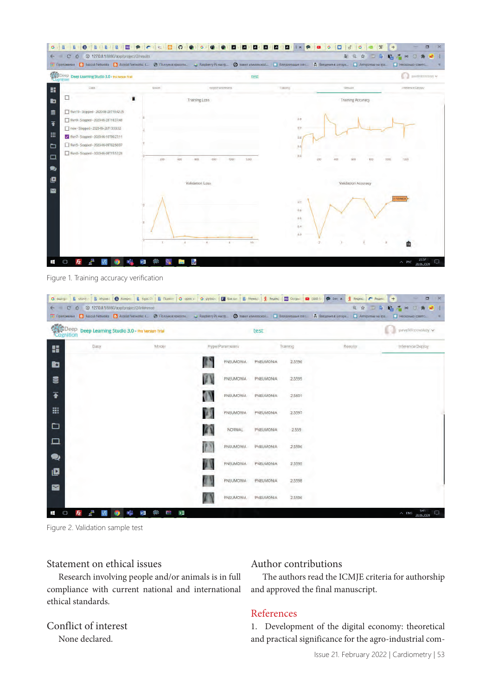

Figure 1. Training accuracy verification

| B. Stoky:   B. Virpos:   B. Konde:   B. Kypr C   B. Rozen   G. open x:   G. python   El Kasdy:   B. Meneal   B. Razenc   ED Ocraw   C (366)     @ De X  <br><b>S</b> SHARKE P BRACKE<br>$\Box$<br>$\times$<br>$+$<br>G sung:      |      |                                              |          |                        |                  |           |                    |                                                            |                                       |                                                     |
|-----------------------------------------------------------------------------------------------------------------------------------------------------------------------------------------------------------------------------------|------|----------------------------------------------|----------|------------------------|------------------|-----------|--------------------|------------------------------------------------------------|---------------------------------------|-----------------------------------------------------|
| ×                                                                                                                                                                                                                                 |      | C 0 0 127.0.0.1:8880/app/project/2/inference |          |                        |                  |           |                    | А Введение в алгори • Алгоритмы на тра. • Несколько совето | 0. ☆<br>$\overline{2}$ $\overline{2}$ | $P_0 \leq m$<br>$\sigma$<br>$M = 1$<br>$\mathbf{u}$ |
| 18 Приложения • В Asocial Networks • В Asocial Networks: К. • © Ползунок ярхости. • «Аварьету Рігнистр. • © павел климовской. • Венуализация стат<br><b>Co</b> PDeep<br>Deep Learning Studio 3.0 - Pro Version Trial<br>Cognition |      |                                              |          | test                   |                  |           |                    |                                                            |                                       | pavelklimovskoy v                                   |
| 噩                                                                                                                                                                                                                                 | Data |                                              | Model    | <b>HyperParameters</b> |                  | Training  |                    | Results                                                    |                                       | Inference/Deploy                                    |
| B3                                                                                                                                                                                                                                |      |                                              |          |                        | <b>PNEUMONIA</b> | PNEUMONIA | 2,5596             |                                                            |                                       |                                                     |
| €                                                                                                                                                                                                                                 |      |                                              |          | 国                      | PNEUMONIA        | PNEUMONIA | 2,5595             |                                                            |                                       |                                                     |
| 不                                                                                                                                                                                                                                 |      |                                              |          | Q                      | PNEUMONIA        | PNEUMONIA | 2.5601             |                                                            |                                       |                                                     |
| 冊                                                                                                                                                                                                                                 |      |                                              |          | $\overline{4}$         | PNEUMONIA        | PNEUMONIA | ,,,,,<br>2.5597    |                                                            |                                       |                                                     |
| ٠                                                                                                                                                                                                                                 |      |                                              |          |                        | NORMAL           | PNEUMONIA | 2.559              |                                                            |                                       |                                                     |
| $\Box$                                                                                                                                                                                                                            |      |                                              |          |                        | PNEUMONIA        | PNEUMONIA | a.<br>2.5596<br>w. |                                                            |                                       |                                                     |
| 受<br>O                                                                                                                                                                                                                            |      |                                              |          |                        | <b>PNEUMONIA</b> | PNEUMONIA | 2.5595             |                                                            |                                       |                                                     |
| M                                                                                                                                                                                                                                 |      |                                              |          | 73                     | PNEUMONIA        | PNEUMONIA | 2.5598             |                                                            |                                       |                                                     |
|                                                                                                                                                                                                                                   |      |                                              |          |                        | PNEUMONIA.       | PNEUMONIA | 2,5596             |                                                            |                                       |                                                     |
| Ŧ                                                                                                                                                                                                                                 | Fz.  | w∃                                           | ×H<br>f. |                        |                  |           |                    |                                                            |                                       | 9:41<br>$\wedge$ ENG 28.06.2020<br>Ω.               |

Figure 2. Validation sample test

## Statement on ethical issues

Research involving people and/or animals is in full compliance with current national and international ethical standards.

## Conflict of interest None declared.

### Author contributions

The authors read the ICMJE criteria for authorship and approved the final manuscript.

## References

1. Development of the digital economy: theoretical and practical significance for the agro-industrial com-